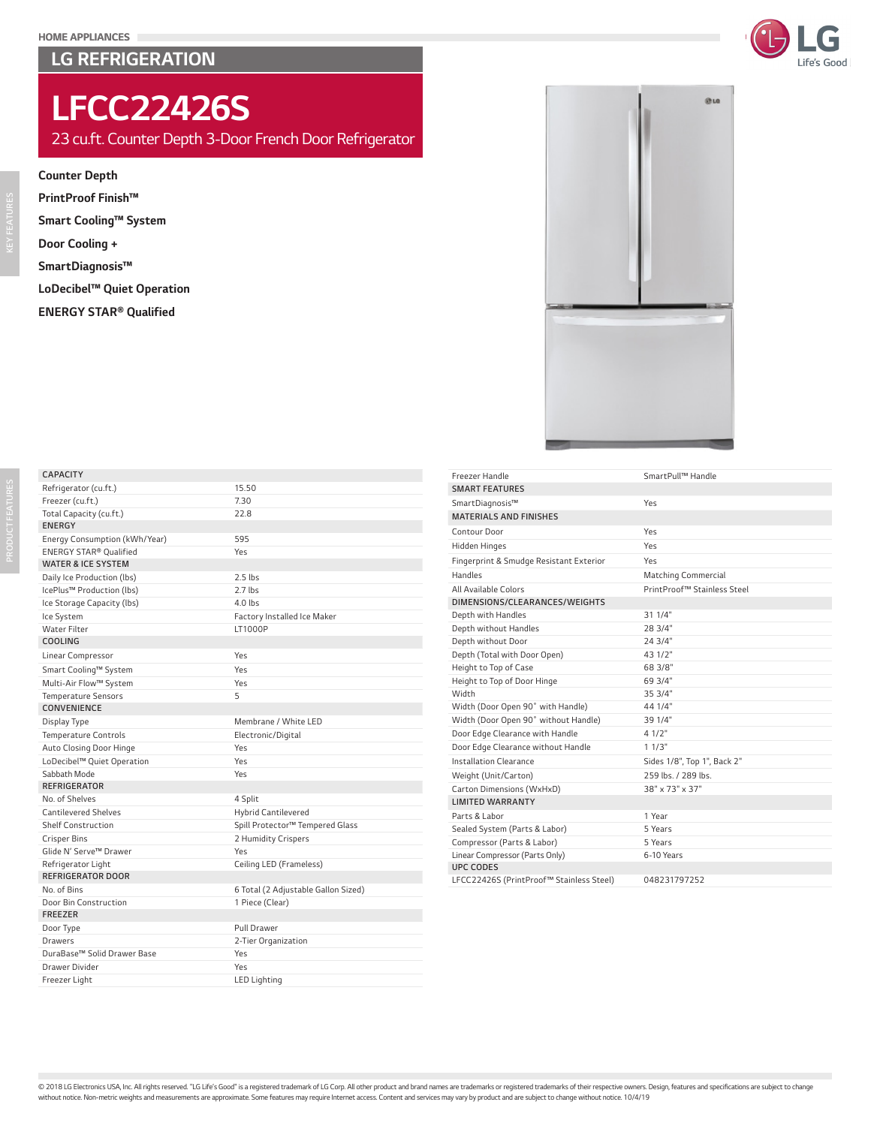### LG REFRIGERATION



@ La

## *LFCC22426S*

*23 cu.ft. Counter Depth 3-Door French Door Refrigerator*

#### *Counter Depth*

*PrintProof Finish™ Smart Cooling™ System Door Cooling + SmartDiagnosis™ LoDecibel™ Quiet Operation ENERGY STAR® Qualified*



# *PRODUCT FEATURES*

*CAPACITY*

*Freezer (cu.ft.) 7.30 Total Capacity (cu.ft.) 22.8*

*KEY FEATURES*

| <b>ENERGY</b>                 |                                 |
|-------------------------------|---------------------------------|
| Energy Consumption (kWh/Year) | 595                             |
| ENERGY STAR® Oualified        | Yes                             |
| <b>WATER &amp; ICE SYSTEM</b> |                                 |
| Daily Ice Production (lbs)    | $2.5$ lbs                       |
| IcePlus™ Production (lbs)     | $2.7$ lbs                       |
| Ice Storage Capacity (lbs)    | $4.0$ lbs                       |
| Ice System                    | Factory Installed Ice Maker     |
| <b>Water Filter</b>           | LT1000P                         |
| <b>COOLING</b>                |                                 |
| Linear Compressor             | Yes                             |
| Smart Cooling™ System         | Yes                             |
| Multi-Air Flow™ System        | Yes                             |
| <b>Temperature Sensors</b>    | 5                               |
| CONVENIENCE                   |                                 |
| Display Type                  | Membrane / White LED            |
| <b>Temperature Controls</b>   | Electronic/Digital              |
| Auto Closing Door Hinge       | Yes                             |
| LoDecibel™ Quiet Operation    | Yes                             |
| Sabbath Mode                  | Yes                             |
| <b>REFRIGERATOR</b>           |                                 |
| No. of Shelves                | 4 Split                         |
| <b>Cantilevered Shelves</b>   | <b>Hybrid Cantilevered</b>      |
| Shelf Construction            | Spill Protector™ Tempered Glass |
| <b>Crisper Bins</b>           | 2 Humidity Crispers             |
| Glide N' Serve™ Drawer        | Yes                             |
| Refrigerator Light            | Ceiling LED (Frameless)         |
| REFRIGERATOR DOOR             |                                 |

*Refrigerator (cu.ft.) 15.50*

| Freezer (cu.il.)              | 7.3U                                |  |
|-------------------------------|-------------------------------------|--|
| Total Capacity (cu.ft.)       | 22.8                                |  |
| <b>ENERGY</b>                 |                                     |  |
| Energy Consumption (kWh/Year) | 595                                 |  |
| ENERGY STAR® Oualified        | Yes                                 |  |
| <b>WATER &amp; ICE SYSTEM</b> |                                     |  |
| Daily Ice Production (lbs)    | $2.5$ lbs                           |  |
| IcePlus™ Production (lbs)     | $2.7$ lbs                           |  |
| Ice Storage Capacity (lbs)    | $4.0$ lbs                           |  |
| Ice System                    | Factory Installed Ice Maker         |  |
| <b>Water Filter</b>           | LT1000P                             |  |
| <b>COOLING</b>                |                                     |  |
| Linear Compressor             | Yes                                 |  |
| Smart Cooling™ System         | Yes                                 |  |
| Multi-Air Flow™ System        | Yes                                 |  |
| <b>Temperature Sensors</b>    | 5                                   |  |
| <b>CONVENIENCE</b>            |                                     |  |
| Display Type                  | Membrane / White LED                |  |
| <b>Temperature Controls</b>   | Electronic/Digital                  |  |
| Auto Closing Door Hinge       | Yes                                 |  |
| LoDecibel™ Quiet Operation    | Yes                                 |  |
| Sabbath Mode                  | Yes                                 |  |
| <b>REFRIGERATOR</b>           |                                     |  |
| No. of Shelves                | 4 Split                             |  |
| <b>Cantilevered Shelves</b>   | <b>Hybrid Cantilevered</b>          |  |
| <b>Shelf Construction</b>     | Spill Protector™ Tempered Glass     |  |
| <b>Crisper Bins</b>           | 2 Humidity Crispers                 |  |
| Glide N' Serve™ Drawer        | Yes                                 |  |
| Refrigerator Light            | Ceiling LED (Frameless)             |  |
| REFRIGERATOR DOOR             |                                     |  |
| No. of Bins                   | 6 Total (2 Adjustable Gallon Sized) |  |
| Door Bin Construction         | 1 Piece (Clear)                     |  |
| <b>FREEZER</b>                |                                     |  |
| Door Type                     | Pull Drawer                         |  |
| <b>Drawers</b>                | 2-Tier Organization                 |  |
| DuraBase™ Solid Drawer Base   | Yes                                 |  |
| Drawer Divider                | Yes                                 |  |
| Freezer Light                 | <b>LED Lighting</b>                 |  |

| Freezer Handle                           | SmartPull™ Handle           |  |  |  |
|------------------------------------------|-----------------------------|--|--|--|
| <b>SMART FEATURES</b>                    |                             |  |  |  |
| SmartDiagnosis™                          | Yes                         |  |  |  |
| <b>MATERIALS AND FINISHES</b>            |                             |  |  |  |
| Contour Door                             | Yes                         |  |  |  |
| <b>Hidden Hinges</b>                     | Yes                         |  |  |  |
| Fingerprint & Smudge Resistant Exterior  | Yes                         |  |  |  |
| <b>Handles</b>                           | Matching Commercial         |  |  |  |
| All Available Colors                     | PrintProof™ Stainless Steel |  |  |  |
| DIMENSIONS/CLEARANCES/WEIGHTS            |                             |  |  |  |
| Depth with Handles                       | 31 1/4"                     |  |  |  |
| Depth without Handles                    | 28 3/4"                     |  |  |  |
| Depth without Door                       | 24 3/4"                     |  |  |  |
| Depth (Total with Door Open)             | 43 1/2"                     |  |  |  |
| Height to Top of Case                    | 68 3/8"                     |  |  |  |
| Height to Top of Door Hinge              | 69 3/4"                     |  |  |  |
| Width                                    | 35 3/4"                     |  |  |  |
| Width (Door Open 90° with Handle)        | 44 1/4"                     |  |  |  |
| Width (Door Open 90° without Handle)     | 39 1/4"                     |  |  |  |
| Door Edge Clearance with Handle          | 4 1/2"                      |  |  |  |
| Door Edge Clearance without Handle       | 11/3"                       |  |  |  |
| Installation Clearance                   | Sides 1/8", Top 1", Back 2" |  |  |  |
| Weight (Unit/Carton)                     | 259 lbs. / 289 lbs.         |  |  |  |
| Carton Dimensions (WxHxD)                | 38" x 73" x 37"             |  |  |  |
| <b>LIMITED WARRANTY</b>                  |                             |  |  |  |
| Parts & Labor                            | 1 Year                      |  |  |  |
| Sealed System (Parts & Labor)            | 5 Years                     |  |  |  |
| Compressor (Parts & Labor)               | 5 Years                     |  |  |  |
| Linear Compressor (Parts Only)           | 6-10 Years                  |  |  |  |
| <b>UPC CODES</b>                         |                             |  |  |  |
| LFCC22426S (PrintProof™ Stainless Steel) | 048231797252                |  |  |  |